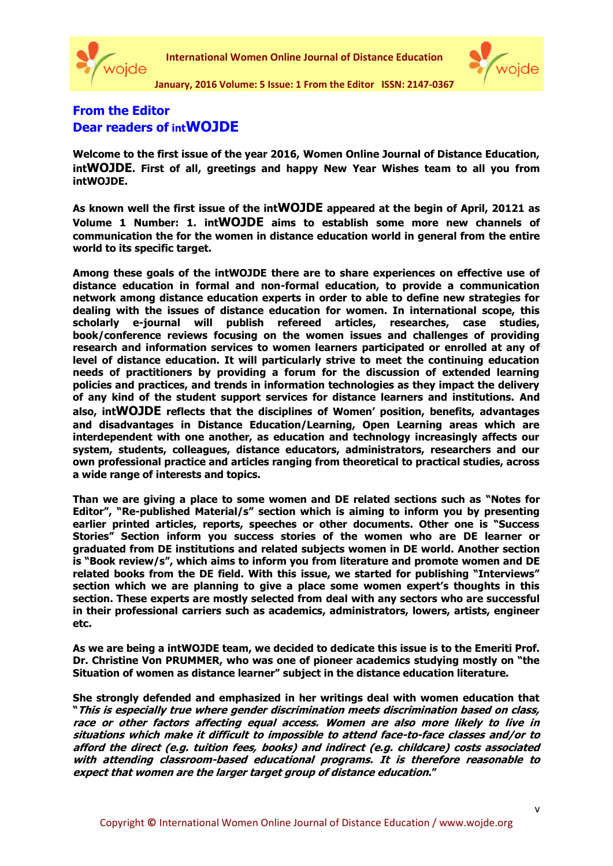



## **From the Editor Dear readers of intWOJDE**

**Welcome to the first issue of the year 2016, Women Online Journal of Distance Education, intWOJDE. First of all, greetings and happy New Year Wishes team to all you from intWOJDE.** 

**As known well the first issue of the intWOJDE appeared at the begin of April, 20121 as Volume 1 Number: 1. intWOJDE aims to establish some more new channels of communication the for the women in distance education world in general from the entire world to its specific target.** 

**Among these goals of the intWOJDE there are to share experiences on effective use of distance education in formal and non-formal education, to provide a communication network among distance education experts in order to able to define new strategies for dealing with the issues of distance education for women. In international scope, this scholarly e-journal will publish refereed articles, researches, case studies, book/conference reviews focusing on the women issues and challenges of providing research and information services to women learners participated or enrolled at any of level of distance education. It will particularly strive to meet the continuing education needs of practitioners by providing a forum for the discussion of extended learning policies and practices, and trends in information technologies as they impact the delivery of any kind of the student support services for distance learners and institutions. And also, intWOJDE reflects that the disciplines of Women' position, benefits, advantages and disadvantages in Distance Education/Learning, Open Learning areas which are interdependent with one another, as education and technology increasingly affects our system, students, colleagues, distance educators, administrators, researchers and our own professional practice and articles ranging from theoretical to practical studies, across a wide range of interests and topics.**

**Than we are giving a place to some women and DE related sections such as "Notes for Editor", "Re-published Material/s" section which is aiming to inform you by presenting earlier printed articles, reports, speeches or other documents. Other one is "Success Stories" Section inform you success stories of the women who are DE learner or graduated from DE institutions and related subjects women in DE world. Another section is "Book review/s", which aims to inform you from literature and promote women and DE related books from the DE field. With this issue, we started for publishing "Interviews" section which we are planning to give a place some women expert's thoughts in this section. These experts are mostly selected from deal with any sectors who are successful in their professional carriers such as academics, administrators, lowers, artists, engineer etc.** 

**As we are being a intWOJDE team, we decided to dedicate this issue is to the Emeriti Prof. Dr. Christine Von PRUMMER, who was one of pioneer academics studying mostly on "the Situation of women as distance learner" subject in the distance education literature.** 

**She strongly defended and emphasized in her writings deal with women education that "This is especially true where gender discrimination meets discrimination based on class, race or other factors affecting equal access. Women are also more likely to live in situations which make it difficult to impossible to attend face-to-face classes and/or to afford the direct (e.g. tuition fees, books) and indirect (e.g. childcare) costs associated with attending classroom-based educational programs. It is therefore reasonable to expect that women are the larger target group of distance education."**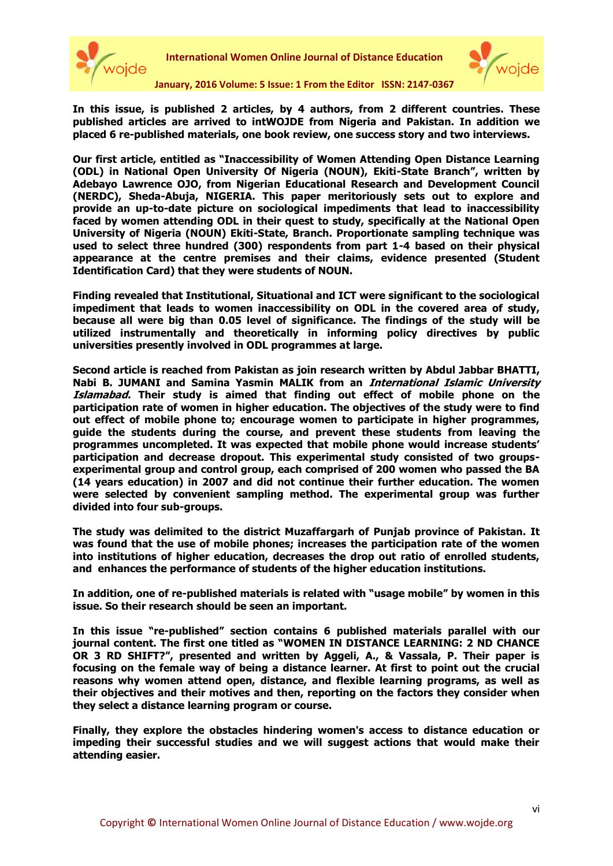



**In this issue, is published 2 articles, by 4 authors, from 2 different countries. These published articles are arrived to intWOJDE from Nigeria and Pakistan. In addition we placed 6 re-published materials, one book review, one success story and two interviews.**

**Our first article, entitled as "Inaccessibility of Women Attending Open Distance Learning (ODL) in National Open University Of Nigeria (NOUN), Ekiti-State Branch", written by Adebayo Lawrence OJO, from Nigerian Educational Research and Development Council (NERDC), Sheda-Abuja, NIGERIA. This paper meritoriously sets out to explore and provide an up-to-date picture on sociological impediments that lead to inaccessibility faced by women attending ODL in their quest to study, specifically at the National Open University of Nigeria (NOUN) Ekiti-State, Branch. Proportionate sampling technique was used to select three hundred (300) respondents from part 1-4 based on their physical appearance at the centre premises and their claims, evidence presented (Student Identification Card) that they were students of NOUN.** 

**Finding revealed that Institutional, Situational and ICT were significant to the sociological impediment that leads to women inaccessibility on ODL in the covered area of study, because all were big than 0.05 level of significance. The findings of the study will be utilized instrumentally and theoretically in informing policy directives by public universities presently involved in ODL programmes at large.** 

**Second article is reached from Pakistan as join research written by Abdul Jabbar BHATTI, Nabi B. JUMANI and Samina Yasmin MALIK from an International Islamic University Islamabad. Their study is aimed that finding out effect of mobile phone on the participation rate of women in higher education. The objectives of the study were to find out effect of mobile phone to; encourage women to participate in higher programmes, guide the students during the course, and prevent these students from leaving the programmes uncompleted. It was expected that mobile phone would increase students' participation and decrease dropout. This experimental study consisted of two groupsexperimental group and control group, each comprised of 200 women who passed the BA (14 years education) in 2007 and did not continue their further education. The women were selected by convenient sampling method. The experimental group was further divided into four sub-groups.** 

**The study was delimited to the district Muzaffargarh of Punjab province of Pakistan. It was found that the use of mobile phones; increases the participation rate of the women into institutions of higher education, decreases the drop out ratio of enrolled students, and enhances the performance of students of the higher education institutions.** 

**In addition, one of re-published materials is related with "usage mobile" by women in this issue. So their research should be seen an important.**

**In this issue "re-published" section contains 6 published materials parallel with our journal content. The first one titled as "WOMEN IN DISTANCE LEARNING: 2 ND CHANCE OR 3 RD SHIFT?", presented and written by Aggeli, A., & Vassala, P. Their paper is focusing on the female way of being a distance learner. At first to point out the crucial reasons why women attend open, distance, and flexible learning programs, as well as their objectives and their motives and then, reporting on the factors they consider when they select a distance learning program or course.** 

**Finally, they explore the obstacles hindering women's access to distance education or impeding their successful studies and we will suggest actions that would make their attending easier.**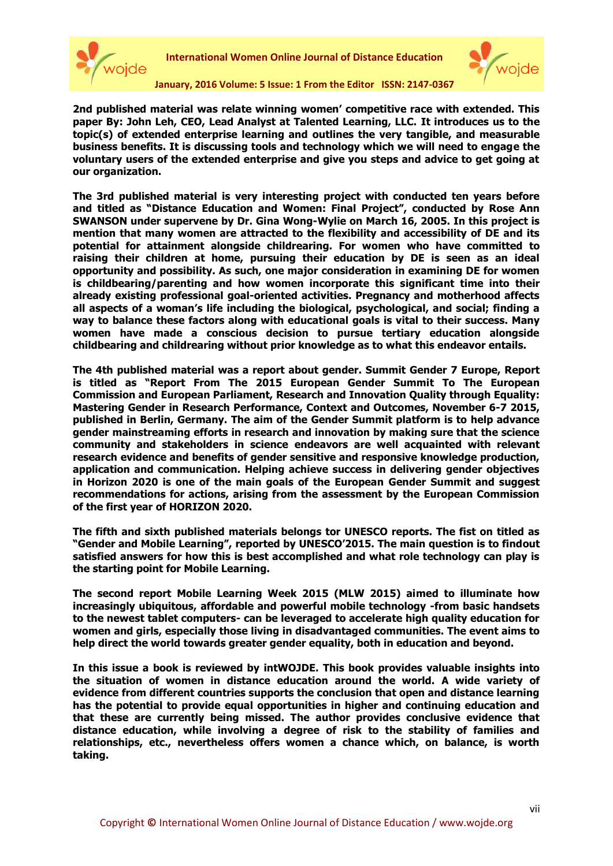



**2nd published material was relate winning women' competitive race with extended. This paper By: John Leh, CEO, Lead Analyst at Talented Learning, LLC. It introduces us to the topic(s) of extended enterprise learning and outlines the very tangible, and measurable business benefits. It is discussing tools and technology which we will need to engage the voluntary users of the extended enterprise and give you steps and advice to get going at our organization.**

**The 3rd published material is very interesting project with conducted ten years before and titled as "Distance Education and Women: Final Project", conducted by Rose Ann SWANSON under supervene by Dr. Gina Wong-Wylie on March 16, 2005. In this project is mention that many women are attracted to the flexibility and accessibility of DE and its potential for attainment alongside childrearing. For women who have committed to raising their children at home, pursuing their education by DE is seen as an ideal opportunity and possibility. As such, one major consideration in examining DE for women is childbearing/parenting and how women incorporate this significant time into their already existing professional goal-oriented activities. Pregnancy and motherhood affects all aspects of a woman's life including the biological, psychological, and social; finding a way to balance these factors along with educational goals is vital to their success. Many women have made a conscious decision to pursue tertiary education alongside childbearing and childrearing without prior knowledge as to what this endeavor entails.**

**The 4th published material was a report about gender. Summit Gender 7 Europe, Report is titled as "Report From The 2015 European Gender Summit To The European Commission and European Parliament, Research and Innovation Quality through Equality: Mastering Gender in Research Performance, Context and Outcomes, November 6-7 2015, published in Berlin, Germany. The aim of the Gender Summit platform is to help advance gender mainstreaming efforts in research and innovation by making sure that the science community and stakeholders in science endeavors are well acquainted with relevant research evidence and benefits of gender sensitive and responsive knowledge production, application and communication. Helping achieve success in delivering gender objectives in Horizon 2020 is one of the main goals of the European Gender Summit and suggest recommendations for actions, arising from the assessment by the European Commission of the first year of HORIZON 2020.**

**The fifth and sixth published materials belongs tor UNESCO reports. The fist on titled as "Gender and Mobile Learning", reported by UNESCO'2015. The main question is to findout satisfied answers for how this is best accomplished and what role technology can play is the starting point for Mobile Learning.**

**The second report Mobile Learning Week 2015 (MLW 2015) aimed to illuminate how increasingly ubiquitous, affordable and powerful mobile technology -from basic handsets to the newest tablet computers- can be leveraged to accelerate high quality education for women and girls, especially those living in disadvantaged communities. The event aims to help direct the world towards greater gender equality, both in education and beyond.**

**In this issue a book is reviewed by intWOJDE. This book provides valuable insights into the situation of women in distance education around the world. A wide variety of evidence from different countries supports the conclusion that open and distance learning has the potential to provide equal opportunities in higher and continuing education and that these are currently being missed. The author provides conclusive evidence that distance education, while involving a degree of risk to the stability of families and relationships, etc., nevertheless offers women a chance which, on balance, is worth taking.**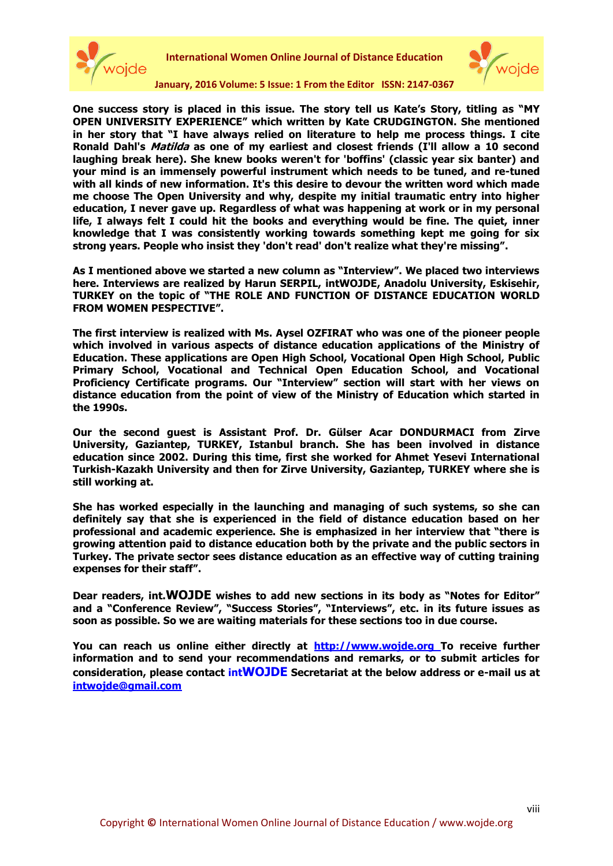



**One success story is placed in this issue. The story tell us Kate's Story, titling as "MY OPEN UNIVERSITY EXPERIENCE" which written by [Kate CRUDGINGTON.](http://www.huffingtonpost.co.uk/kate-crudgington/) She mentioned in her story that "I have always relied on literature to help me process things. I cite Ronald Dahl's Matilda as one of my earliest and closest friends (I'll allow a 10 second laughing break here). She knew books weren't for 'boffins' (classic year six banter) and your mind is an immensely powerful instrument which needs to be tuned, and re-tuned with all kinds of new information. It's this desire to devour the written word which made me choose The Open University and why, despite my initial traumatic entry into higher education, I never gave up. Regardless of what was happening at work or in my personal life, I always felt I could hit the books and everything would be fine. The quiet, inner knowledge that I was consistently working towards something kept me going for six strong years. People who insist they 'don't read' don't realize what they're missing".**

**As I mentioned above we started a new column as "Interview". We placed two interviews here. Interviews are realized by Harun SERPIL, intWOJDE, Anadolu University, Eskisehir, TURKEY on the topic of "THE ROLE AND FUNCTION OF DISTANCE EDUCATION WORLD FROM WOMEN PESPECTIVE".** 

**The first interview is realized with Ms. Aysel OZFIRAT who was one of the pioneer people which involved in various aspects of distance education applications of the Ministry of Education. These applications are Open High School, Vocational Open High School, Public Primary School, Vocational and Technical Open Education School, and Vocational Proficiency Certificate programs. Our "Interview" section will start with her views on distance education from the point of view of the Ministry of Education which started in the 1990s.**

**Our the second guest is Assistant Prof. Dr. Gülser Acar DONDURMACI from Zirve University, Gaziantep, TURKEY, Istanbul branch. She has been involved in distance education since 2002. During this time, first she worked for Ahmet Yesevi International Turkish-Kazakh University and then for Zirve University, Gaziantep, TURKEY where she is still working at.** 

**She has worked especially in the launching and managing of such systems, so she can definitely say that she is experienced in the field of distance education based on her professional and academic experience. She is emphasized in her interview that "there is growing attention paid to distance education both by the private and the public sectors in Turkey. The private sector sees distance education as an effective way of cutting training expenses for their staff".**

**Dear readers, int.WOJDE wishes to add new sections in its body as "Notes for Editor" and a "Conference Review", "Success Stories", "Interviews", etc. in its future issues as soon as possible. So we are waiting materials for these sections too in due course.**

**You can reach us online either directly at [http://www.wojde.org](http://www.wojde.org/) To receive further information and to send your recommendations and remarks, or to submit articles for consideration, please contact intWOJDE Secretariat at the below address or e-mail us at [intwojde@gmail.com](mailto:intwojde@gmail.com)**